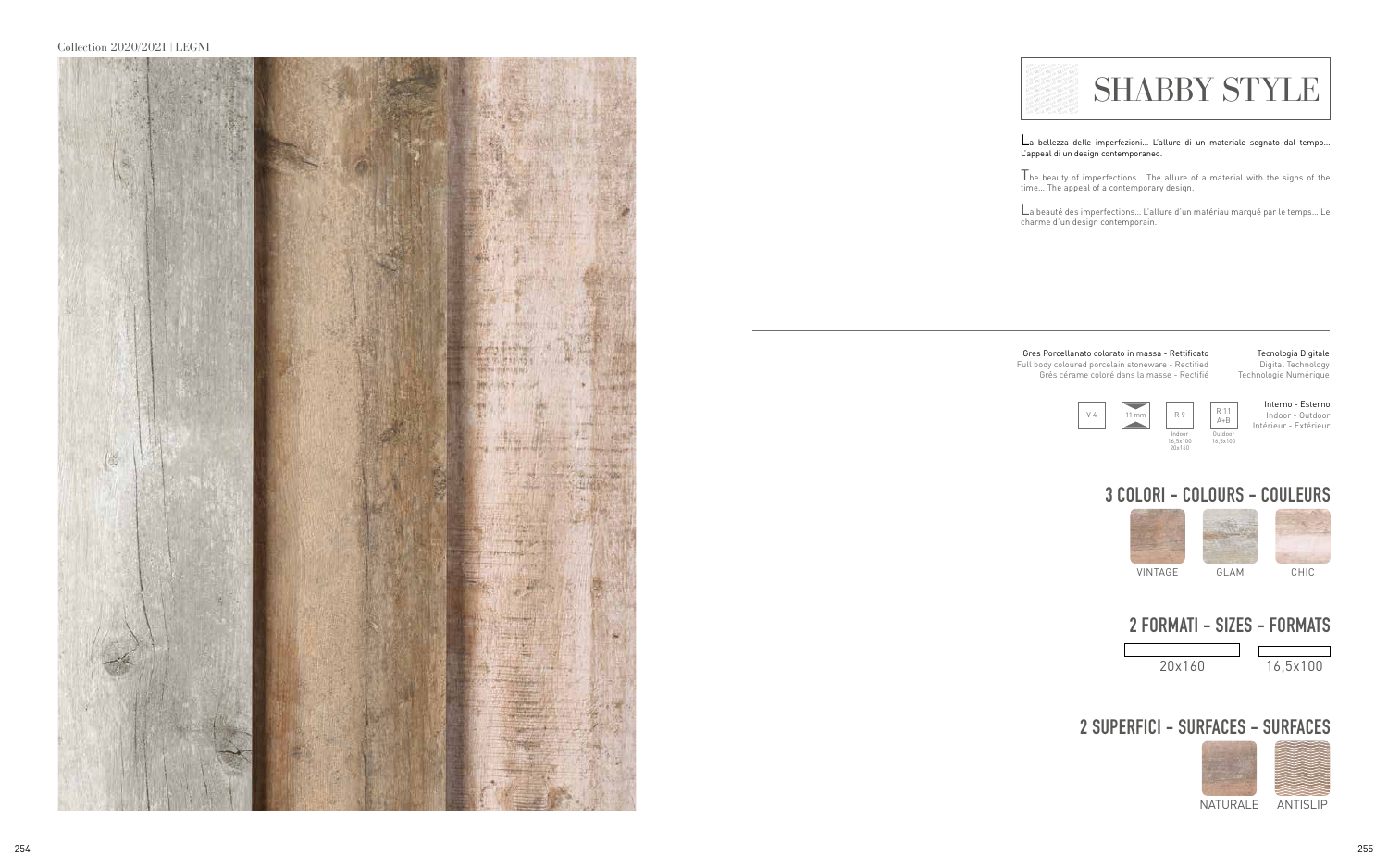## Collection 2020/2021 | LEGNI



La bellezza delle imperfezioni… L'allure di un materiale segnato dal tempo… L'appeal di un design contemporaneo.

The beauty of imperfections… The allure of a material with the signs of the

time… The appeal of a contemporary design.<br>\_<br>La beauté des imperfections… L'allure d'un matériau marqué par le temps… Le charme d'un design contemporain.



## **2 SUPERFICI - SURFACES - SURFACES**



NATURALE ANTISLIP

**SILCER SILCER SILCER**<br>SILCER SILCER SILCER<br>SILCER SILCER SILCER **SILCER**<br>SILCER<br>SILCER **SILCERAMICHE SILCER**<br>SILCERAMIC **SILCERAMICHE SILCERAMICHE SILCERAMICHE SILCERAMICHE SILCERAMICHE SILCERAMICHE SILCERAMICHE SILCERAMICHE SILCERAMICHE SILCERAMICHE SILCERAMICHE SILCERAMICHE SILCERAMICHE SILCERAMICHE SILCERAMICHE SILCERAMICHE SILCERAMICHE SILCERAMICHE SILCERAMICHE SILCERAMICHE SILCER**<br>**SILCERAMICHE SILCER**<br>**SILCERAMICHE SILCER<br>
SILCERAMICHE SILCER<br>
SILCERAMICHE SILCER<br>
SILCERAMICHE<br>
SILCERAMICHE<br>
SILCERAMICHE** CHE AMICHE **CHE AMICHE SILCERAMICHE SILCERAMICHE SILCERAMICHE SILCERAMICHE SILCERAMICHE SILCERAMICHE SILCERAMICHE SILCERAMICHE SILCERAMICHE SILCERAMICHE SILCERAMICHE SILCERAMICHE SILCERAMICHE SILCERAMICHE SILCERAMICHE SILCERAMICHE SI SILER SILCER SILCER SILCER<br>SILCER SILCER SILCER SILCER SILCERAMICHE SILCERAMICHE SILCERAMICHE SILCERAMICHE SILCERAMICHE SILCERAMICHE SILCERAMICHE SILCERAMICHE SILCERAMICHE SILCERAMICHE SILCERAMICHE SILCERAMICHE SILCERAMICHE SILCERAMICHE SILCERAMICHE SILCERAMICHE SILCERAMICHE SILCERAMICHE SILCERAMICHE SILCERAMICHE**<br>**SILCERAMICHE SILCER**<br>SILCERAMICHE SILCER<br>SILCERAMICHE SILCER<br>SILCERAMICHE<br>SILCERAMICHE<br>SILCERAMICHE<br>SILCERAMICHE **SILCERAMICHE SILCERAMICHE SILCERAMICHE**<br>**SILCERAMICHE SILCERAMICHE**<br>SILCERAMICHE SILCERAMICHE<br>SILCERAMICHE SILCER<br>SILCERAMICHE SILCER<br>SILCERAMICHE SILCER<br>SILCERAMICHE SILCER CHE MICHE **SILCER SILCER SILCER SILCER SILCER SILCER SILCER SILCER SILCER SILCER SILCER SILCER SILCER SILCER SILCER SILCER SILCER SILCER SILCER SILCER SILCER SILCER SILCER SILCER SILCER SILCER SILCER SILCER SILCER SILCER SILCER SILC SILCER SILCER<br>SILCER SILCER<br>SILCER SILCER SILCER SILCERAMICHE SILCERAMICHE SILCERAMICHE**<br>SILCERAMICHE SILCER<br>SILCERAMICHE SILCER<br>SILCERAMICHE SILCER<br>SILCERAMICHE SILCER<br>SILCERAMICHE SILCER<br>SILCERAMICHE

 $\blacksquare$  SHABBY STYLE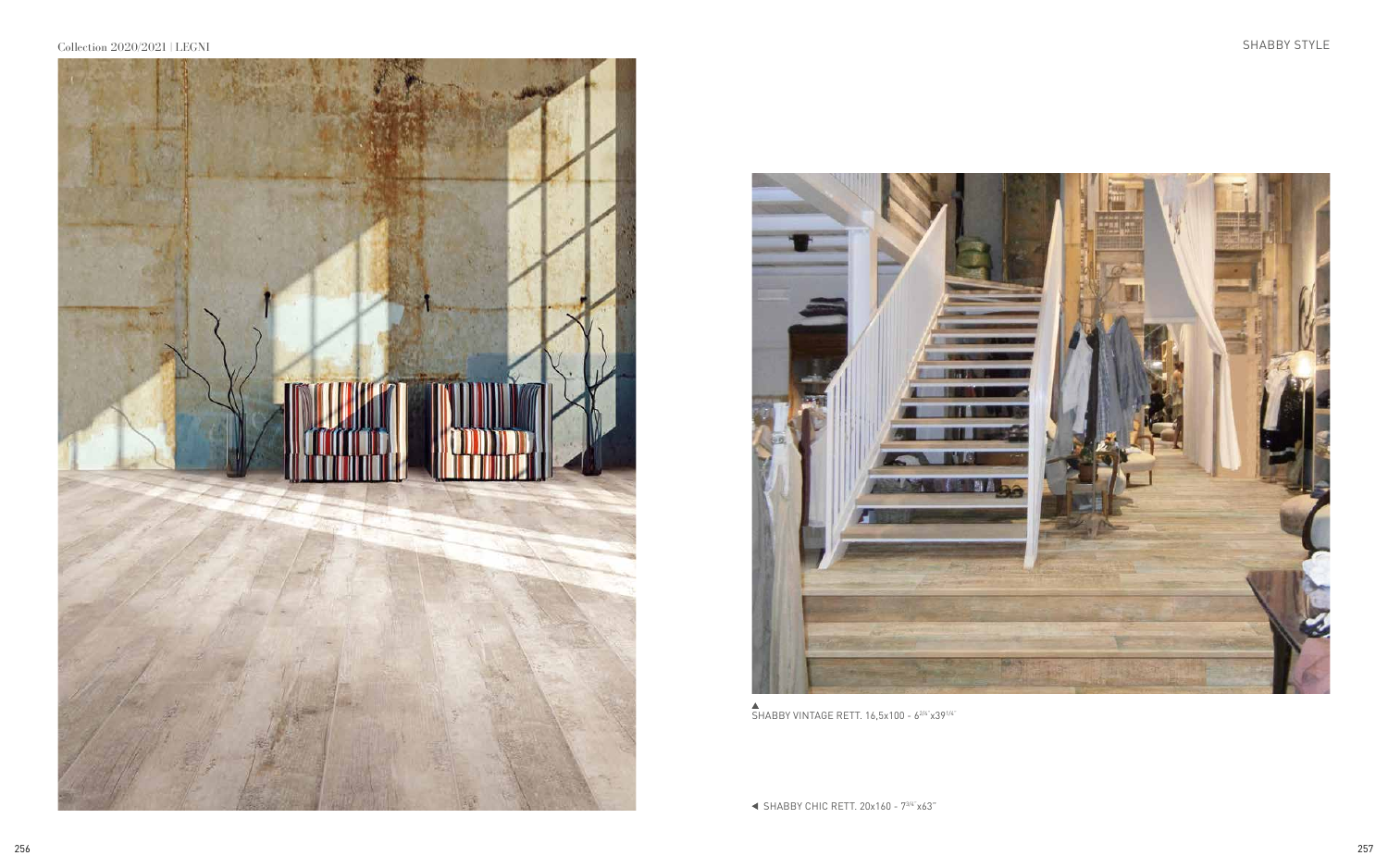



 $\triangle$ <br>SHABBY VINTAGE RETT. 16,5x100 - 6<sup>2/4"</sup>x39<sup>1/4"</sup>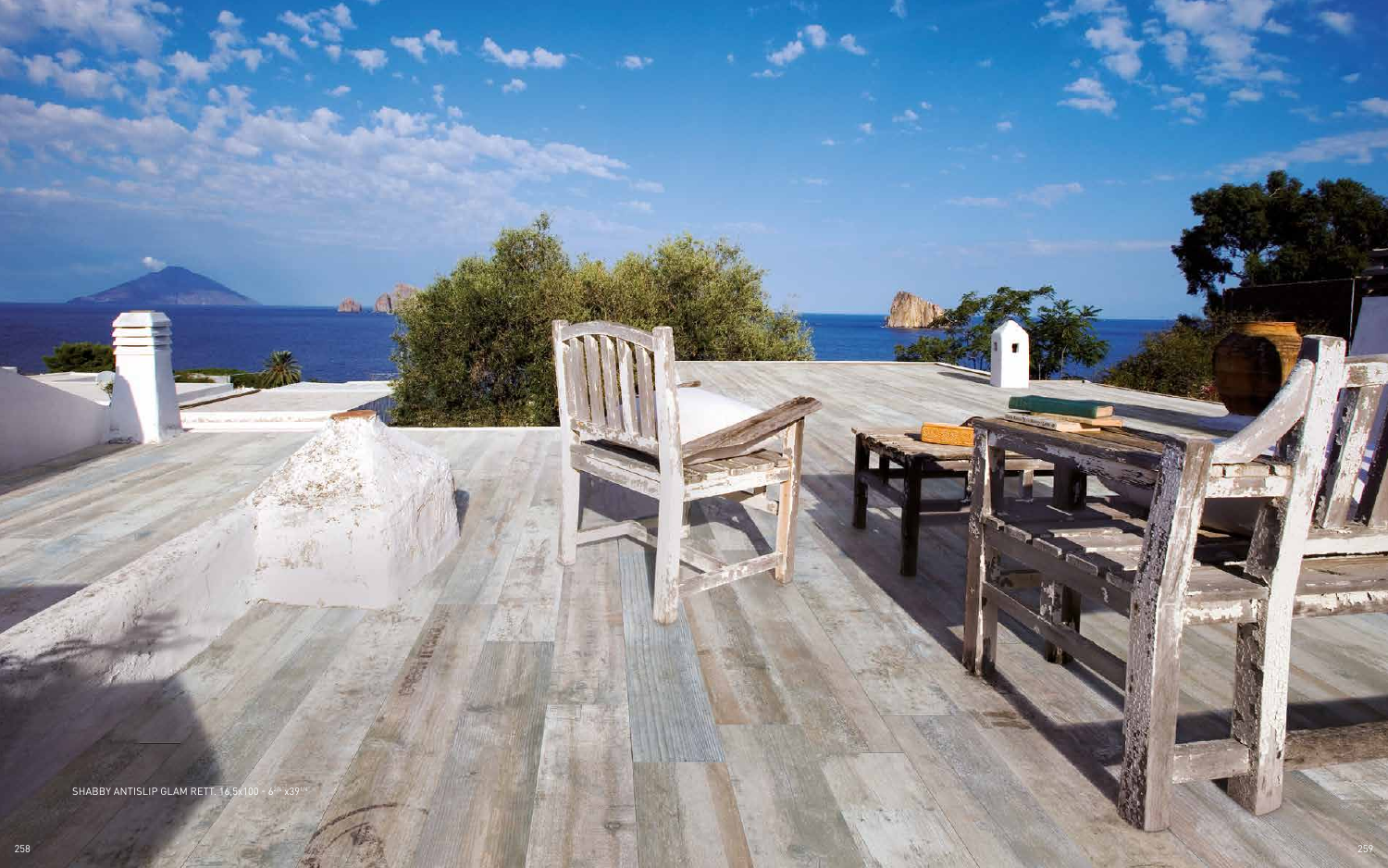

23

SHABBY ANTISLIP GLAM RETT. 16,5 x100 - 62/4" x391/4"

 $1000$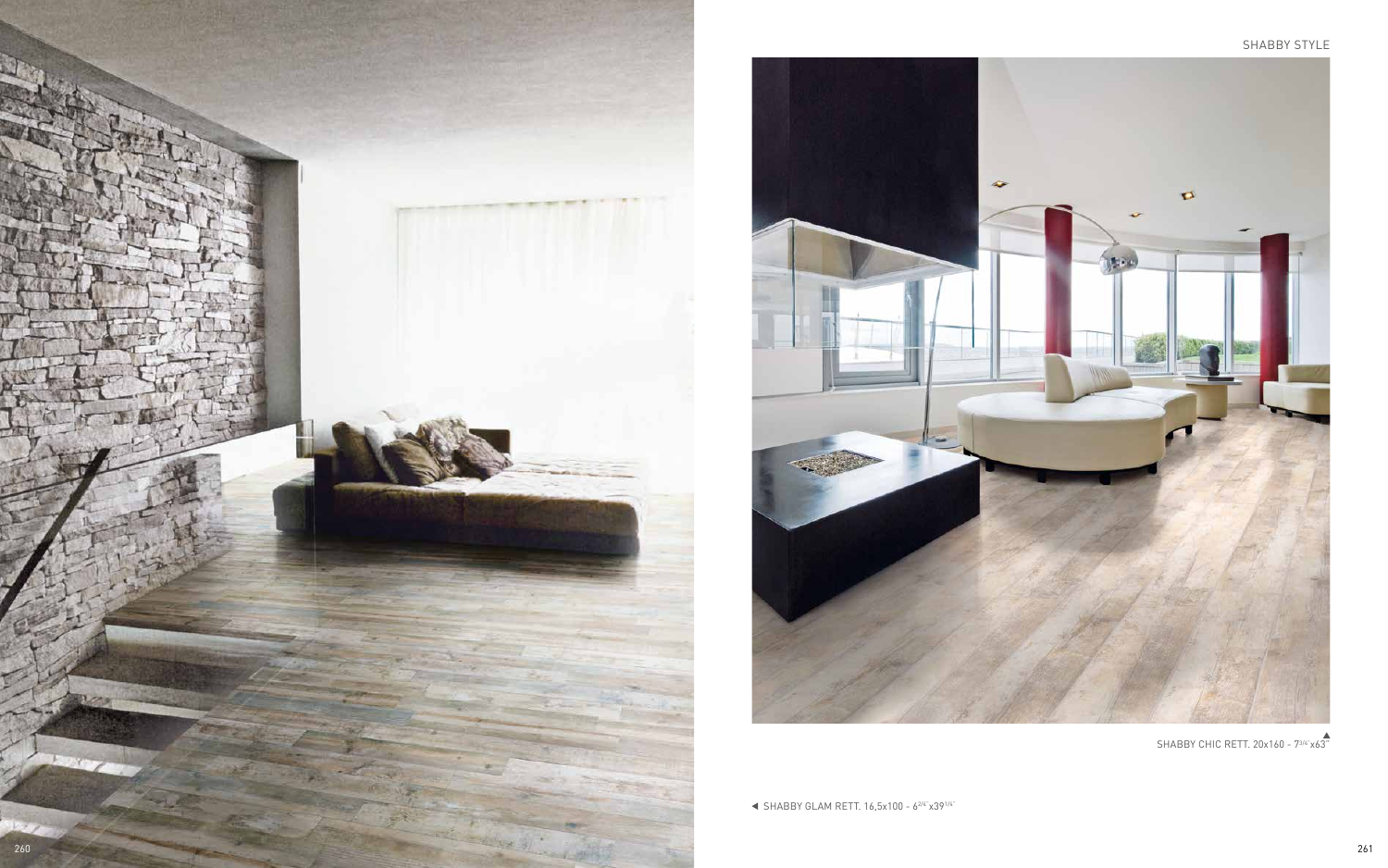



 $\blacktriangleleft$  SHABBY GLAM RETT. 16,5x100 - 6<sup>2/4"</sup>x39<sup>1/4"</sup>

SHABBY CHIC RETT. 20x160 - 7<sup>3/4"</sup>x63<sup>"</sup>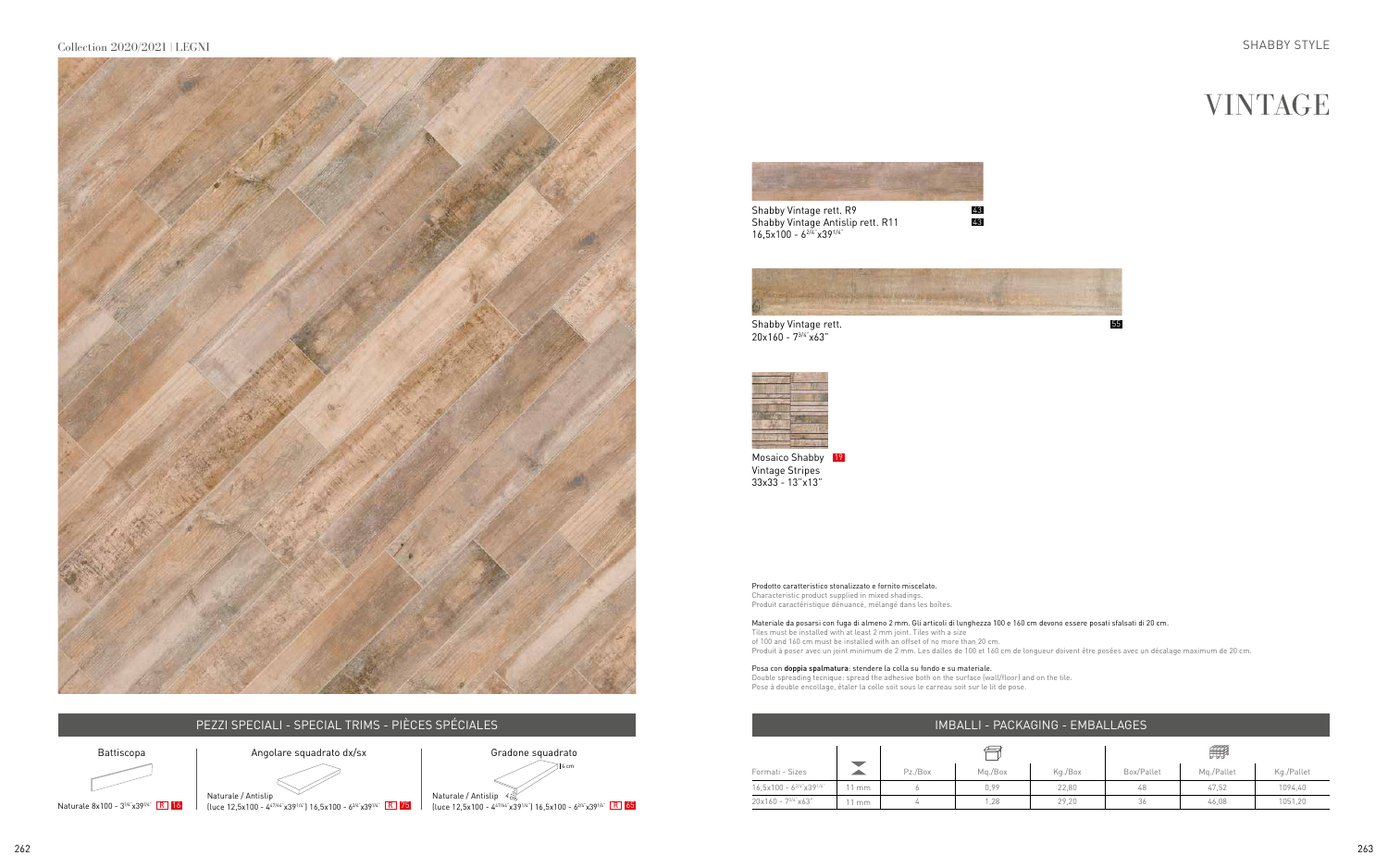Shabby Vintage rett. R9 Shabby Vintage Antislip rett. R11  $16,5x100 - 6^{2/4}x39^{1/4}$ 



Shabby Vintage rett. 20x160 - 73/4"x63"



55





| IMBALLI - PACKAGING - EMBALLAGES |                |         |         |         |            |            |            |  |  |
|----------------------------------|----------------|---------|---------|---------|------------|------------|------------|--|--|
|                                  |                |         |         |         | 無          |            |            |  |  |
| Formati - Sizes                  |                | Pz./Box | Mg./Box | Kg./Box | Box/Pallet | Mg./Pallet | Kg./Pallet |  |  |
| $16.5x100 - 6^{2/4}x39^{1/4}$    | $1 \text{ mm}$ |         | 0.99    | 22.80   | 48         | 47.52      | 1094.40    |  |  |
| $20x160 - 7^{3/4}x63$            | $1 \text{ mm}$ |         | 1,28    | 29.20   | 36         | 46.08      | 1051,20    |  |  |

### IMBALLI - PACKAGING - EMBALLAGES

Mosaico Shabby Vintage Stripes 33x33 - 13"x13" 19

Prodotto caratteristico stonalizzato e fornito miscelato. Characteristic product supplied in mixed shadings. Produit caractéristique dénuancé, mélangé dans les boîtes.

Posa con doppia spalmatura: stendere la colla su fondo e su materiale. Double spreading tecnique: spread the adhesive both on the surface (wall/floor) and on the tile. Pose à double encollage, étaler la colle soit sous le carreau soit sur le lit de pose.

Gradone squadrato  $\geq$  16 cm

 $\frac{1}{2}$  (luce 12,5x100 - 4<sup>2/64"</sup>x391<sup>/4"</sup>  $\frac{1}{2}$  16,5x100 - 6<sup>2/4"</sup>x39<sup>1/4"</sup>  $\frac{1}{2}$  75 (luce 12,5x100 - 4<sup>2/64"</sup>x39<sup>1/4"</sup> 16,5x100 - 6<sup>2/4"</sup>x39<sup>1/4"</sup>  $\frac{1}{2}$ 



Materiale da posarsi con fuga di almeno 2 mm. Gli articoli di lunghezza 100 e 160 cm devono essere posati sfalsati di 20 cm. Tiles must be installed with at least 2 mm joint. Tiles with a size of 100 and 160 cm must be installed with an offset of no more than 20 cm. Produit à poser avec un joint minimum de 2 mm. Les dalles de 100 et 160 cm de longueur doivent être posées avec un décalage maximum de 20 cm.



## PEZZI SPECIALI - SPECIAL TRIMS - PIÈCES SPÉCIALES



Naturale 8x100 - 3<sup>1/4"</sup> x39<sup>1/4"</sup> R 16

Naturale / Antislip  $\begin{picture}(180,170)(0,0) \put(0,0){\line(1,0){155}} \put(15,0){\line(1,0){155}} \put(15,0){\line(1,0){155}} \put(15,0){\line(1,0){155}} \put(15,0){\line(1,0){155}} \put(15,0){\line(1,0){155}} \put(15,0){\line(1,0){155}} \put(15,0){\line(1,0){155}} \put(15,0){\line(1,0){155}} \put(15,0){\line(1,$ 

Angolare squadrato dx/sx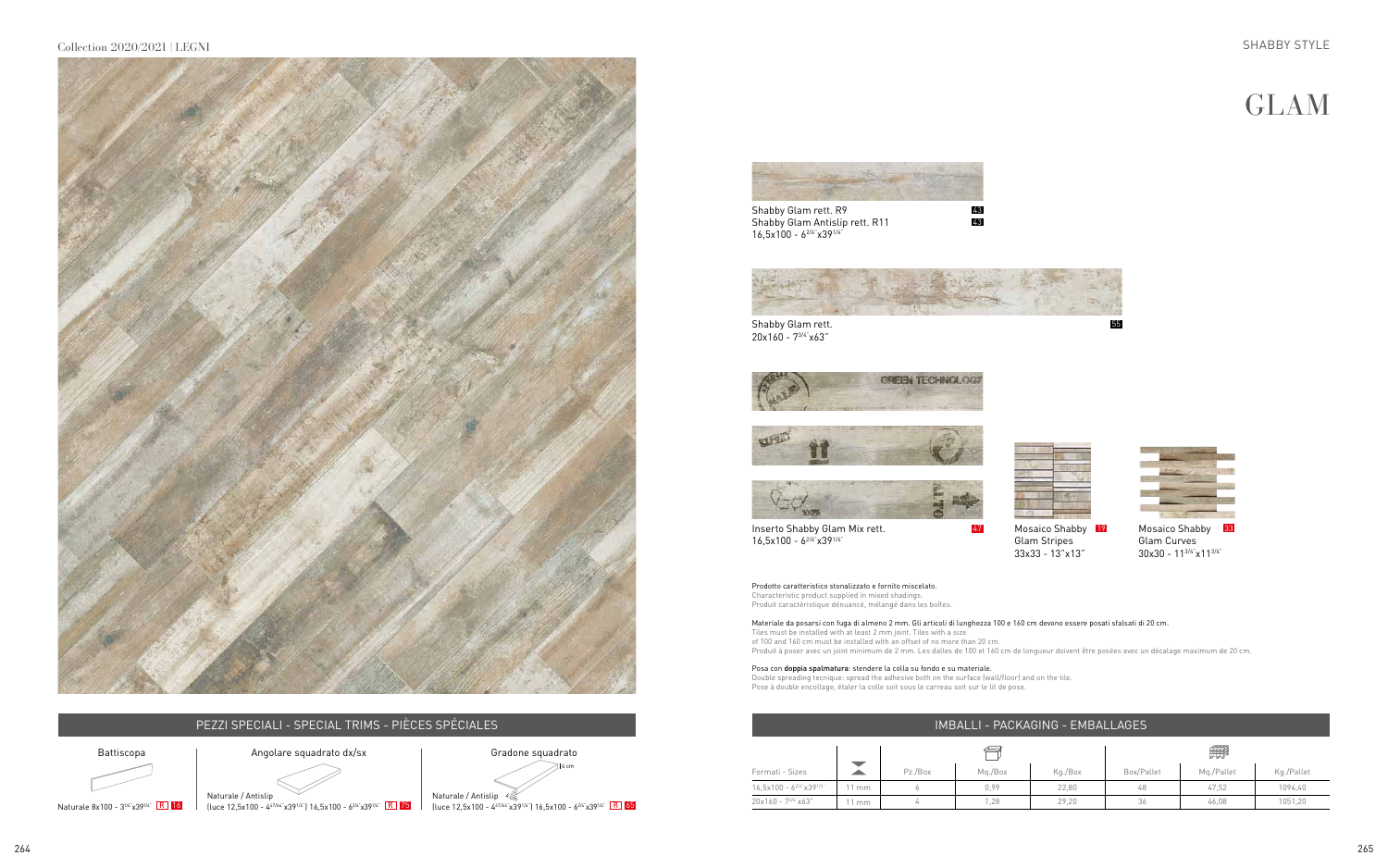

## PEZZI SPECIALI - SPECIAL TRIMS - PIÈCES SPÉCIALES IN ENTRE EN ENTRE EN CONTRACTO DE L'ANNO EN EN ENFRANCIAGES

Shabby Glam rett. R9 Shabby Glam Antislip rett. R11  $16,5x100 - 6^{2/4}x39^{1/4}$ 



Shabby Glam rett. 20x160 - 73/4"x63"



















Prodotto caratteristico stonalizzato e fornito miscelato. Characteristic product supplied in mixed shadings. Produit caractéristique dénuancé, mélangé dans les boîtes.

Posa con doppia spalmatura: stendere la colla su fondo e su materiale. Double spreading tecnique: spread the adhesive both on the surface (wall/floor) and on the tile. Pose à double encollage, étaler la colle soit sous le carreau soit sur le lit de pose.

Inserto Shabby Glam Mix rett.  $16,5x100 - 6^{2/4}x39^{1/4}$ 

Materiale da posarsi con fuga di almeno 2 mm. Gli articoli di lunghezza 100 e 160 cm devono essere posati sfalsati di 20 cm. Tiles must be installed with at least 2 mm joint. Tiles with a size of 100 and 160 cm must be installed with an offset of no more than 20 cm. Produit à poser avec un joint minimum de 2 mm. Les dalles de 100 et 160 cm de longueur doivent être posées avec un décalage maximum de 20 cm.



47 Mosaico Shabby 19 Glam Stripes 33x33 - 13"x13"



Mosaico Shabby Glam Curves 30x30 - 113/4"x113/4" 33

|                               |    |         |         |         | 無          |            |            |  |
|-------------------------------|----|---------|---------|---------|------------|------------|------------|--|
| Formati - Sizes               |    | Pz./Box | Mg./Box | Kg./Box | Box/Pallet | Mg./Pallet | Kg./Pallet |  |
| $16,5x100 - 6^{2/4}x39^{1/4}$ | mm |         | 0,99    | 22,80   | 48         | 47,52      | 1094,40    |  |
| 20x160 - 73/4"x63"            | mm |         | 1,28    | 29,20   | 36         | 46,08      | 1051,20    |  |







Angolare squadrato dx/sx



Naturale 8x100 - 3<sup>1/4"</sup> x39<sup>1/4"</sup> R 16

 $\frac{1}{2}$  (luce 12,5x100 - 4<sup>2/64"</sup>x391<sup>/4"</sup>  $\frac{1}{2}$  16,5x100 - 6<sup>2/4"</sup>x39<sup>1/4"</sup>  $\frac{1}{2}$  75 (luce 12,5x100 - 4<sup>2/64"</sup>x39<sup>1/4"</sup> 16,5x100 - 6<sup>2/4"</sup>x39<sup>1/4"</sup>  $\frac{1}{2}$ Naturale / Antislip  $\begin{picture}(180,170)(0,0) \put(0,0){\line(1,0){155}} \put(15,0){\line(1,0){155}} \put(15,0){\line(1,0){155}} \put(15,0){\line(1,0){155}} \put(15,0){\line(1,0){155}} \put(15,0){\line(1,0){155}} \put(15,0){\line(1,0){155}} \put(15,0){\line(1,0){155}} \put(15,0){\line(1,0){155}} \put(15,0){\line(1,$